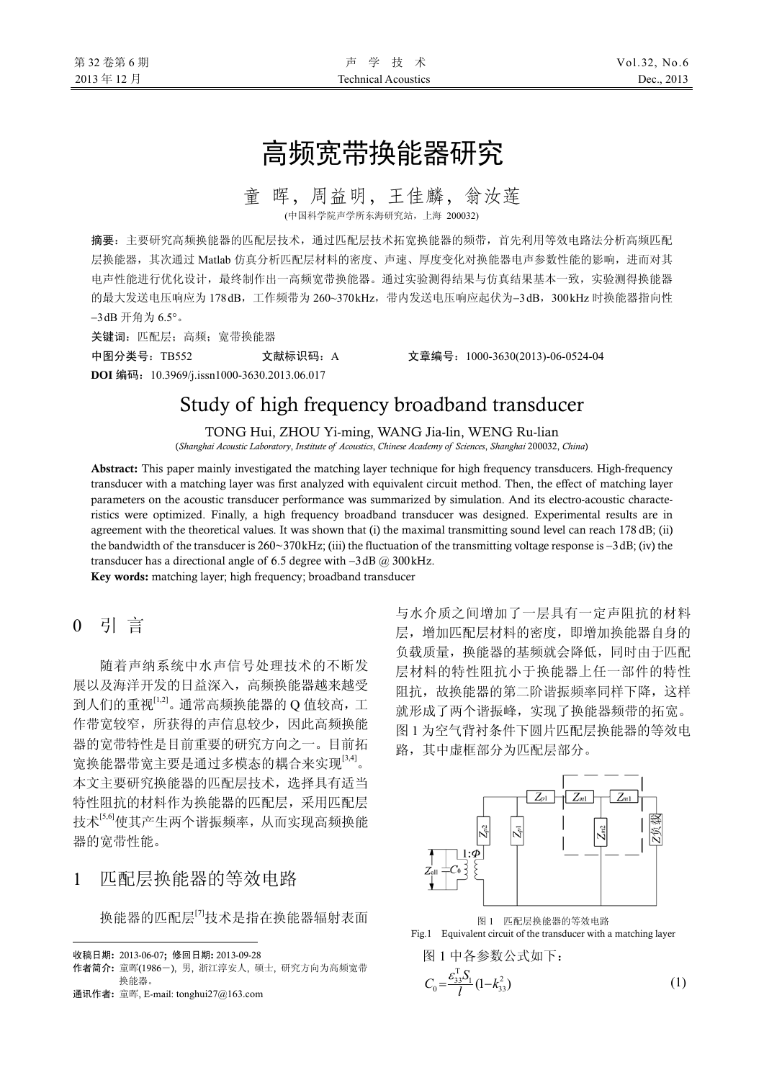# 高频宽带换能器研究

童 晖,周益明,王佳麟,翁汝莲

(中国科学院声学所东海研究站,上海 200032)

摘要:主要研究高频换能器的匹配层技术,通过匹配层技术拓宽换能器的频带,首先利用等效电路法分析高频匹配 层换能器,其次通过 Matlab 仿真分析匹配层材料的密度、声速、厚度变化对换能器电声参数性能的影响,进而对其 电声性能进行优化设计,最终制作出一高频宽带换能器。通过实验测得结果与仿真结果基本一致,实验测得换能器 的最大发送电压响应为 178 dB,工作频带为 260~370 kHz,带内发送电压响应起伏为−3 dB, 300 kHz 时换能器指向性 −3 dB 开角为 6.5°。

关键词: 匹配层; 高频; 宽带换能器

中图分类号:TB552 文献标识码:A 文章编号:1000-3630(2013)-06-0524-04 **DOI** 编码:10.3969/j.issn1000-3630.2013.06.017

# Study of high frequency broadband transducer

TONG Hui, ZHOU Yi-ming, WANG Jia-lin, WENG Ru-lian (*Shanghai Acoustic Laboratory*, *Institute of Acoustics*, *Chinese Academy of Sciences*, *Shanghai* 200032, *China*)

Abstract: This paper mainly investigated the matching layer technique for high frequency transducers. High-frequency transducer with a matching layer was first analyzed with equivalent circuit method. Then, the effect of matching layer parameters on the acoustic transducer performance was summarized by simulation. And its electro-acoustic characteristics were optimized. Finally, a high frequency broadband transducer was designed. Experimental results are in agreement with the theoretical values. It was shown that (i) the maximal transmitting sound level can reach 178 dB; (ii) the bandwidth of the transducer is 260~370 kHz; (iii) the fluctuation of the transmitting voltage response is −3 dB; (iv) the transducer has a directional angle of 6.5 degree with  $-3$  dB @ 300 kHz.

Key words: matching layer; high frequency; broadband transducer

0 引 言

随着声纳系统中水声信号处理技术的不断发 展以及海洋开发的日益深入,高频换能器越来越受 到人们的重视[1,2]。通常高频换能器的 Q 值较高, 工 作带宽较窄,所获得的声信息较少,因此高频换能 器的宽带特性是目前重要的研究方向之一。目前拓 宽换能器带宽主要是通过多模态的耦合来实现[3,4]。 本文主要研究换能器的匹配层技术,选择具有适当 特性阻抗的材料作为换能器的匹配层,采用匹配层 技术[5,6]使其产生两个谐振频率,从而实现高频换能 器的宽带性能。

# 1 匹配层换能器的等效电路

换能器的匹配层[7]技术是指在换能器辐射表面

 $\overline{a}$ 

与水介质之间增加了一层具有一定声阻抗的材料 层,增加匹配层材料的密度,即增加换能器自身的 负载质量,换能器的基频就会降低,同时由于匹配 层材料的特性阻抗小于换能器上任一部件的特性 阻抗,故换能器的第二阶谐振频率同样下降,这样 就形成了两个谐振峰,实现了换能器频带的拓宽。 图 1 为空气背衬条件下圆片匹配层换能器的等效电 路,其中虚框部分为匹配层部分。



图 1 匹配层换能器的等效电路



$$
\boxed{\mathbb{A}} \, 1 \, \text{中} \, \text{A} \, \text{3} \, \text{2} \, \text{2} \, \text{2} \, \text{3} \, \text{3} \, \text{4} \, \text{5} \, \text{5} \, \text{6} \, \text{6} \, \text{7} \, \text{7} \, \text{8} \, \text{9} \, \text{1} \, \text{1} \, \text{1} \, \text{1} \, \text{1} \, \text{1} \, \text{2} \, \text{3} \, \text{4} \, \text{5} \, \text{6} \, \text{6} \, \text{7} \, \text{7} \, \text{8} \, \text{9} \, \text{1} \, \text{1} \, \text{1} \, \text{1} \, \text{1} \, \text{1} \, \text{1} \, \text{1} \, \text{1} \, \text{1} \, \text{1} \, \text{1} \, \text{1} \, \text{1} \, \text{1} \, \text{1} \, \text{1} \, \text{1} \, \text{1} \, \text{1} \, \text{1} \, \text{1} \, \text{1} \, \text{1} \, \text{1} \, \text{1} \, \text{1} \, \text{1} \, \text{1} \, \text{1} \, \text{1} \, \text{1} \, \text{1} \, \text{1} \, \text{1} \, \text{1} \, \text{1} \, \text{1} \, \text{1} \, \text{1} \, \text{1} \, \text{1} \, \text{1} \, \text{1} \, \text{1} \, \text{1} \, \text{1} \, \text{1} \, \text{1} \, \text{1} \, \text{1} \, \text{1} \, \text{1} \, \text{1} \, \text{1} \, \text{1} \, \text{1} \, \text{1} \, \text{1} \, \text{1} \, \text{1} \, \text{1} \, \text{1} \, \text{1} \, \text{1} \, \text{1} \, \text{1} \, \text{1} \, \text{1} \, \text{1} \, \text{1} \, \text{1} \, \text{1} \, \text{
$$

收稿日期: 2013-06-07; 修回日期: 2013-09-28

作者简介: 童晖(1986-), 男, 浙江淳安人, 硕士, 研究方向为高频宽带 换能器。

通讯作者: 童晖, E-mail: [tonghui27@163.com](mailto:tonghui27@163.com)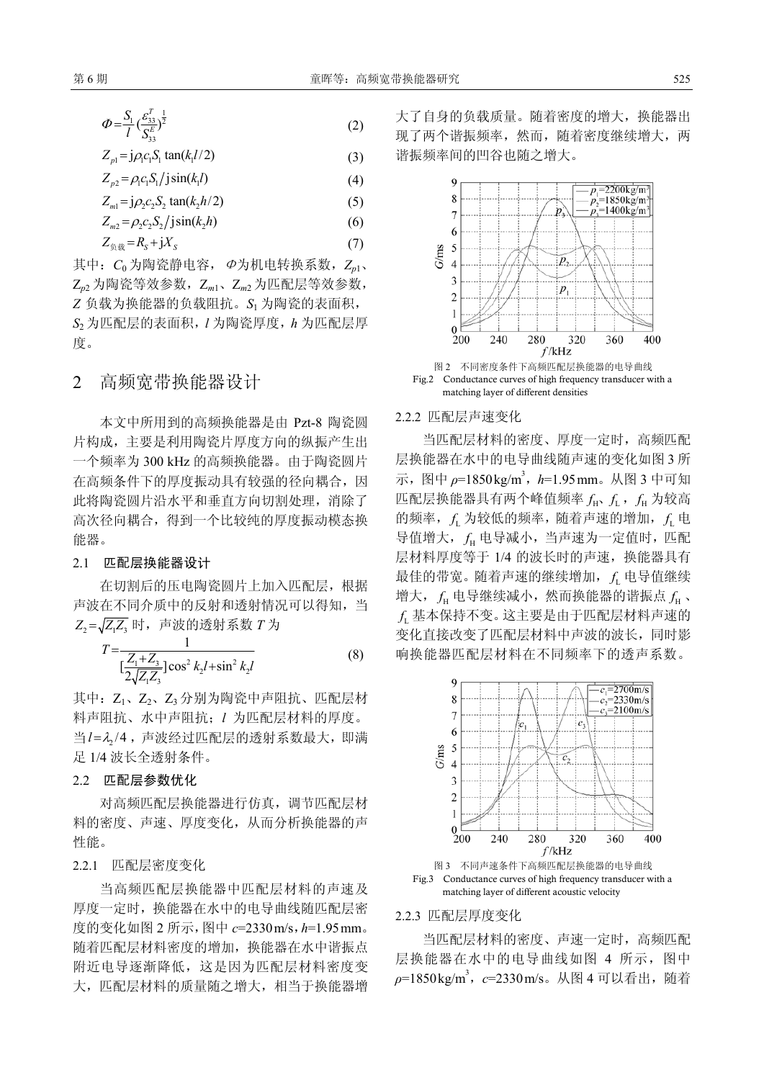$$
\varPhi = \frac{S_1}{l} \left( \frac{\varepsilon_{33}^T}{S_{33}^T} \right)^{\frac{1}{2}} \tag{2}
$$

$$
Z_{p1} = j\rho_1 c_1 S_1 \tan(k_1 l/2) \tag{3}
$$

$$
Z_{p2} = \rho_1 c_1 S_1 / j \sin(k_1 l) \tag{4}
$$

$$
Z_{m1} = j \rho_2 c_2 S_2 \tan(k_2 h/2)
$$
 (5)

$$
Z_{m2} = \rho_2 c_2 S_2 / j \sin(k_2 h) \tag{6}
$$

$$
Z_{\text{A}} = R_{\text{S}} + jX_{\text{S}} \tag{7}
$$

其中:*C*<sup>0</sup> 为陶瓷静电容,Φ为机电转换系数,*Zp*1、 Z*p*<sup>2</sup> 为陶瓷等效参数,Z*m*1、Z*m*<sup>2</sup> 为匹配层等效参数, *Z* 负载为换能器的负载阻抗。*S*<sup>1</sup> 为陶瓷的表面积, *S*<sup>2</sup> 为匹配层的表面积,*l* 为陶瓷厚度,*h* 为匹配层厚 度。

### 2 高频宽带换能器设计

本文中所用到的高频换能器是由 Pzt-8 陶瓷圆 片构成,主要是利用陶瓷片厚度方向的纵振产生出 一个频率为 300 kHz 的高频换能器。由于陶瓷圆片 在高频条件下的厚度振动具有较强的径向耦合,因 此将陶瓷圆片沿水平和垂直方向切割处理,消除了 高次径向耦合,得到一个比较纯的厚度振动模态换 能器。

#### 2.1 匹配层换能器设计

在切割后的压电陶瓷圆片上加入匹配层,根据 声波在不同介质中的反射和透射情况可以得知,当  $Z_2 = \sqrt{Z_1 Z_2}$  时, 声波的透射系数  $T$  为

$$
T = \frac{1}{\left[\frac{Z_1 + Z_3}{2\sqrt{Z_1 Z_3}}\right] \cos^2 k_2 l + \sin^2 k_2 l}
$$
 (8)

其中: Z1、Z2、Z3 分别为陶瓷中声阻抗、匹配层材 料声阻抗、水中声阻抗;*l* 为匹配层材料的厚度。 当 l= λ<sub>2</sub>/4, 声波经过匹配层的透射系数最大, 即满 足 1/4 波长全透射条件。

#### 2.2 匹配层参数优化

对高频匹配层换能器进行仿真,调节匹配层材 料的密度、声速、厚度变化,从而分析换能器的声 性能。

#### 2.2.1 匹配层密度变化

当高频匹配层换能器中匹配层材料的声速及 厚度一定时,换能器在水中的电导曲线随匹配层密 度的变化如图 2 所示,图中 *c*=2330 m/s,*h*=1.95 mm。 随着匹配层材料密度的增加,换能器在水中谐振点 附近电导逐渐降低,这是因为匹配层材料密度变 大,匹配层材料的质量随之增大,相当于换能器增 大了自身的负载质量。随着密度的增大,换能器出 现了两个谐振频率,然而,随着密度继续增大,两 谐振频率间的凹谷也随之增大。



Fig.2 Conductance curves of high frequency transducer with a matching layer of different densities

#### 2.2.2 匹配层声速变化

当匹配层材料的密度、厚度一定时,高频匹配 层换能器在水中的电导曲线随声速的变化如图 3 所 示, 图中 *ρ*=1850 kg/m<sup>3</sup>, *h*=1.95 mm。从图 3 中可知 匹配层换能器具有两个峰值频率  $f_{\text{h}}$ ,  $f_{\text{h}}$  力较高 的频率,  $f_{\rm L}$  为较低的频率, 随着声速的增加,  $f_{\rm L}$  电 导值增大, f<sub>H</sub> 电导减小, 当声速为一定值时, 匹配 层材料厚度等于 1/4 的波长时的声速, 换能器具有 最佳的带宽。随着声速的继续增加, f 电导值继续 增大, f<sub>u</sub> 电导继续减小, 然而换能器的谐振点 f<sub>u</sub>、 <sup>L</sup>*f* 基本保持不变。这主要是由于匹配层材料声速的 变化直接改变了匹配层材料中声波的波长,同时影 响换能器匹配层材料在不同频率下的透声系数。





#### 2.2.3 匹配层厚度变化

当匹配层材料的密度、声速一定时,高频匹配 层换能器在水中的电导曲线如图 4 所示,图中 *ρ*=1850 kg/m3 ,*c*=2330 m/s。从图 4 可以看出,随着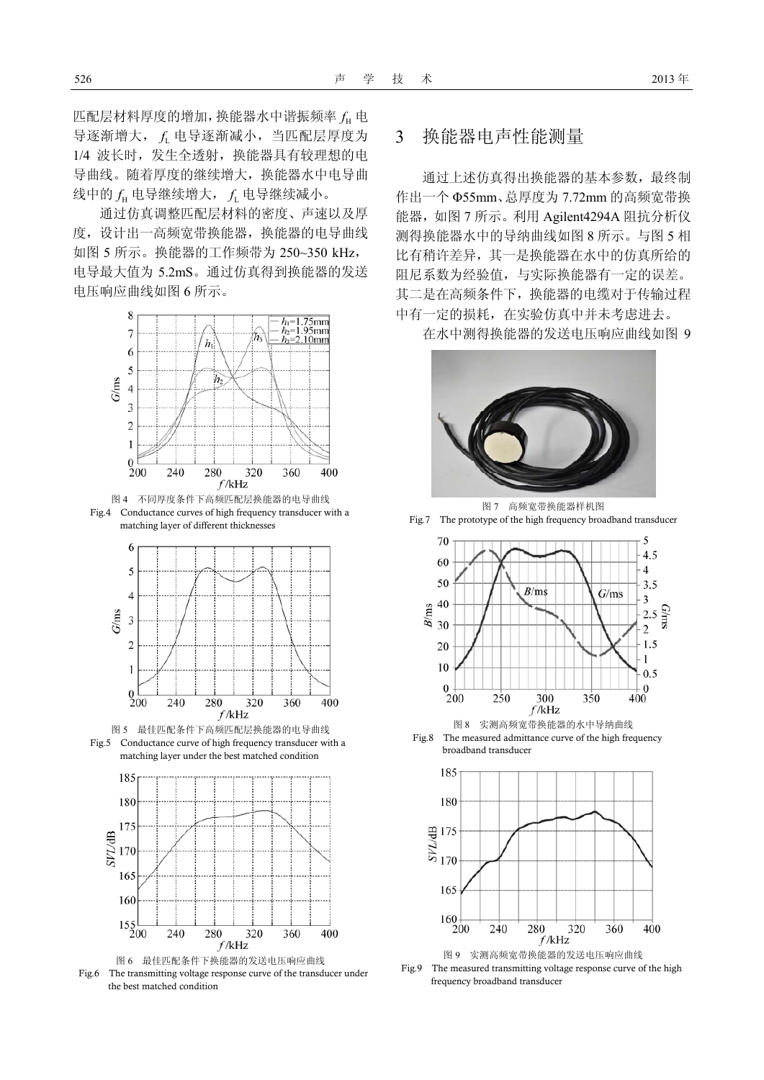匹配层材料厚度的增加,换能器水中谐振频率 <sup>H</sup>*f* 电 导逐渐增大, <sup>L</sup>*f* 电导逐渐减小,当匹配层厚度为 1/4 波长时,发生全透射,换能器具有较理想的电 导曲线。随着厚度的继续增大,换能器水中电导曲 线中的 f<sub>H</sub> 电导继续增大, f 电导继续减小。

通过仿真调整匹配层材料的密度、声速以及厚 度,设计出一高频宽带换能器,换能器的电导曲线 如图 5 所示。换能器的工作频带为 250~350 kHz, 电导最大值为 5.2mS。通过仿真得到换能器的发送 电压响应曲线如图 6 所示。



图 4 不同厚度条件下高频匹配层换能器的电导曲线 Fig.4 Conductance curves of high frequency transducer with a matching layer of different thicknesses









### 3 换能器电声性能测量

通过上述仿真得出换能器的基本参数,最终制 作出一个 Φ55mm、总厚度为 7.72mm 的高频宽带换 能器,如图 7 所示。利用 Agilent4294A 阻抗分析仪 测得换能器水中的导纳曲线如图 8 所示。与图 5 相 比有稍许差异,其一是换能器在水中的仿真所给的 阻尼系数为经验值,与实际换能器有一定的误差。 其二是在高频条件下,换能器的电缆对于传输过程 中有一定的损耗,在实验仿真中并未考虑进去。

在水中测得换能器的发送电压响应曲线如图 9



图 7 高频宽带换能器样机图 Fig.7 The prototype of the high frequency broadband transducer



Fig.8 The measured admittance curve of the high frequency broadband transducer



图 9 实测高频宽带换能器的发送电压响应曲线

Fig.9 The measured transmitting voltage response curve of the high frequency broadband transducer